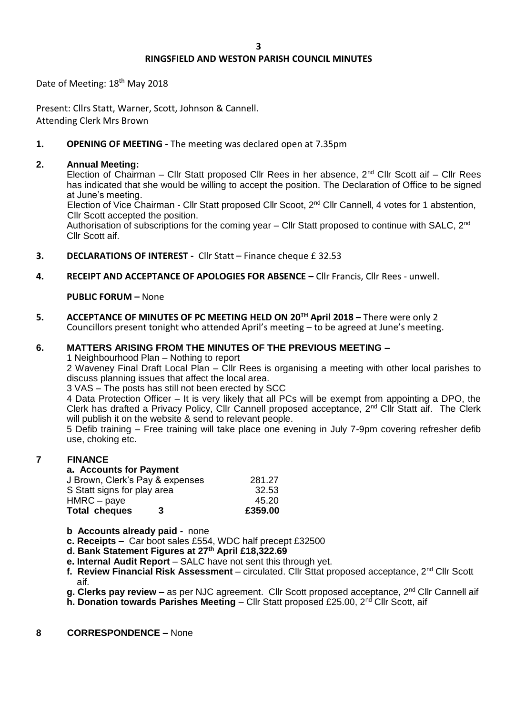# **RINGSFIELD AND WESTON PARISH COUNCIL MINUTES**

Date of Meeting: 18th May 2018

Present: Cllrs Statt, Warner, Scott, Johnson & Cannell. Attending Clerk Mrs Brown

# **1. OPENING OF MEETING -** The meeting was declared open at 7.35pm

### **2. Annual Meeting:**

Election of Chairman – Cllr Statt proposed Cllr Rees in her absence, 2<sup>nd</sup> Cllr Scott aif – Cllr Rees has indicated that she would be willing to accept the position. The Declaration of Office to be signed at June's meeting.

Election of Vice Chairman - Cllr Statt proposed Cllr Scoot, 2<sup>nd</sup> Cllr Cannell, 4 votes for 1 abstention, Cllr Scott accepted the position.

Authorisation of subscriptions for the coming year – Cllr Statt proposed to continue with SALC, 2<sup>nd</sup> Cllr Scott aif.

- **3. DECLARATIONS OF INTEREST** Cllr Statt Finance cheque £ 32.53
- **4. RECEIPT AND ACCEPTANCE OF APOLOGIES FOR ABSENCE –** Cllr Francis, Cllr Rees unwell.

**PUBLIC FORUM –** None

**5. ACCEPTANCE OF MINUTES OF PC MEETING HELD ON 20TH April 2018 –** There were only 2 Councillors present tonight who attended April's meeting – to be agreed at June's meeting.

## **6. MATTERS ARISING FROM THE MINUTES OF THE PREVIOUS MEETING –**

1 Neighbourhood Plan – Nothing to report

2 Waveney Final Draft Local Plan – Cllr Rees is organising a meeting with other local parishes to discuss planning issues that affect the local area.

3 VAS – The posts has still not been erected by SCC

4 Data Protection Officer – It is very likely that all PCs will be exempt from appointing a DPO, the Clerk has drafted a Privacy Policy, Cllr Cannell proposed acceptance, 2nd Cllr Statt aif. The Clerk will publish it on the website & send to relevant people.

5 Defib training – Free training will take place one evening in July 7-9pm covering refresher defib use, choking etc.

#### **7 FINANCE**

# **a. Accounts for Payment**

| 45.20  |
|--------|
| 32.53  |
| 281.27 |
|        |

#### **b Accounts already paid -** none

- **c. Receipts –** Car boot sales £554, WDC half precept £32500
- **d. Bank Statement Figures at 27th April £18,322.69**
- **e. Internal Audit Report** SALC have not sent this through yet.
- **f. Review Financial Risk Assessment** circulated. Cllr Sttat proposed acceptance, 2nd Cllr Scott aif.
- **g. Clerks pay review –** as per NJC agreement. Cllr Scott proposed acceptance, 2nd Cllr Cannell aif
- **h. Donation towards Parishes Meeting Cllr Statt proposed £25.00, 2<sup>nd</sup> Cllr Scott, aif**